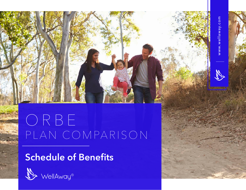

## ORBE PLAN COMPARISON

## **Schedule of Benefits**

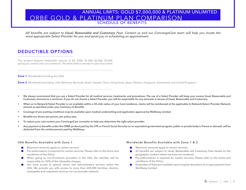**All benefits are subject to Usual, Reasonable and Customary Fees. Contact us and our ConciergeCare team will help you locate the most appropriate Select Provider for you and assist you in scheduling an appointment.**

#### **DEDUCTIBLE OPTIONS**

This product features deductible options of \$0, \$500, \$1,000, \$2,000, \$5,000, giving you control over your premium. The deductible is waived in case of accident.

**Zone 1** Worldwide (including the USA)

**Zone 2** Worldwide (excluding: USA, Bahamas, Bermuda, Brazil, Canada, China, Hong Kong, Japan, Panama, Singapore, Switzerland, and United Kingdom.)

- **• We always recommend that you use a Select Provider for all medical services, treatments, and procedures. The use of a Select Provider will keep your excess Usual, Reasonable and Customary amounts to a minimum. If you do not choose a Select Provider, you will be responsible for any amounts in excess of Usual, Reasonable and Customary.**
- **•** When an In-Network/Select Provider is not available within a 50-mile radius of your local residence, claims will be reimbursed at the applicable In-Network/Select Provider Network **amount as specified under your Summary of Benefits.**
- **• Coverage of pre-existing conditions may be available upon medical underwriting and application approval by WellAway Limited.**
- **• Benefits are shown per person, per policy year.**
- **• To reduce your cost contact your ConciergeCare counselor to help you determine the right select provider.**
- **• Any payment or benefits under the ORBE product paid by the CFE or French Social Security (or an equivalent government program, public or private body in France or abroad), will be deducted from the reimbursement paid by WellAway.**

- Maximum amounts apply to certain services.  $\bullet$
- Pre-authorization is required for certain services. Please refer to the terms and conditions of the Policy.
- When going to out-of-network providers in the USA, the member will be responsible for 50% of the allowable charges.
- You have access to special claims and administrative services within the  $\bullet$ USA. We provide you with access to more than 650,000 facilities, doctors, osteopaths and outpatient services via our provider network.

#### **USA Benefits Available with Zone 1 Worldwide Benefits Available with Zone 1 & 2**

- Maximum amounts apply to certain services.
- All benefits are subject to Usual, Reasonable and Customary Fees based on the geographic location where services are rendered.
- $\bullet$ Pre-authorization is required for certain services. Please refer to the terms and conditions of the Policy.
- $\bullet$ Guarantee of Payment available upon hospital discretion to accept payment from WellAway Limited.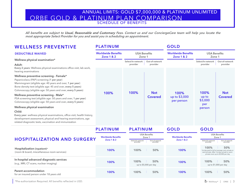**All benefits are subject to Usual, Reasonable and Customary Fees. Contact us and our ConciergeCare team will help you locate the most appropriate Select Provider for you and assist you in scheduling an appointment.**

**PLATINUM**

**GOLD**

#### **WELLNESS PREVENTIVE**

#### **Worldwide Benefits Zone 1 & 2 Worldwide Benefits Zone 1 & 2 GOLD PLATINUM PLATINUM GOLD USA Benefits Zone 1 USA Benefits Zone 1 Select/In-network provider Select/In-network provider Out-of-network provider Out-of-network provider HOSPITALIZATION AND SURGERY 100% 100% 100% 100% 100% 100% 100% 100% 100% 100% 100% 100% 50% 50% 50% 50% 50% 50%** up to \$5,000 per day up to \$1,000 per day 1st day paid in full at average cost, private or semi-private. After 1st day, private or semiprivate room up to \$2,000 per day **Hospitalization (inpatient)\*** (room & board, miscellaneous room services) **In-hospital advanced diagnostic services Parent accommodation** (e.g., MRI, CT scans, nuclear imaging) for an insured person under 18 years old **Wellness physical examination\* Wellness physical examination Adult: Child: Wellness preventive screening - Female\* Wellness preventive screening - Male\* Every 2 years**: Wellness physical examinations office visit, lab work, hearing examinations **Every year**: wellness physical examinations, office visit, health history, development assessment, physical and hearing examinations, age related diagnostic tests, vaccination and immunization Papanicolaou (PAP) screening (**1 per year**) Mammogram (eligible age: 40 years and over, **1 per year**) Bone density test (eligible age: 45 and over, **every 5 years**) Colonoscopy (eligible age: 50 years and over, **every 5 years**) PSA screening test (eligible age: 50 years and over, **1 per year**) Colonoscopy (eligible age: 50 years and over**, every 5 years**) **Worldwide Benefits Zone 1 & 2 Worldwide Benefits Zone 1 & 2 USA Benefits Zone 1 USA Benefits Zone 1 Out-of-network provider Out-of-network provider Select/In-network provider Select/In-network provider** up to \$3,000 per person up to \$3,000 per person **100% 100% Not 100% 100% Covered Not Covered DEDUCTIBLE WAIVED**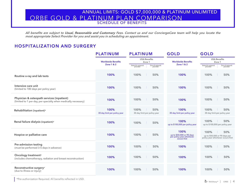**All benefits are subject to Usual, Reasonable and Customary Fees. Contact us and our ConciergeCare team will help you locate the most appropriate Select Provider for you and assist you in scheduling an appointment.**

#### **HOSPITALIZATION AND SURGERY**

|                                                                                                              | <b>PLATINUM</b>                                    | <b>PLATINUM</b>                                             | <b>GOLD</b>                                                                    | <b>GOLD</b>                                                                        |
|--------------------------------------------------------------------------------------------------------------|----------------------------------------------------|-------------------------------------------------------------|--------------------------------------------------------------------------------|------------------------------------------------------------------------------------|
|                                                                                                              | <b>Worldwide Benefits</b><br><b>Zone 1 &amp; 2</b> | <b>USA Benefits</b><br>Zone 1                               | <b>Worldwide Benefits</b>                                                      | <b>USA Benefits</b><br>Zone 1                                                      |
|                                                                                                              |                                                    | Out-of-network<br>provider<br>Select/In-network<br>provider | <b>Zone 1 &amp; 2</b>                                                          | Select/In-network<br>provider<br>Out-of-network<br>provider                        |
| Routine x-ray and lab tests                                                                                  | 100%                                               | 100%<br>50%                                                 | 100%                                                                           | 100%<br>50%                                                                        |
| Intensive care unit<br>(limited to 180 days per policy year)                                                 | 100%                                               | 100%<br>50%                                                 | 100%                                                                           | 100%<br>50%                                                                        |
| Physician & osteopath services (inpatient)<br>(limited to 1 per day, per specialty when medically necessary) | 100%                                               | 100%<br>50%                                                 | 100%                                                                           | 100%<br>50%                                                                        |
| Rehabilitation (inpatient)*                                                                                  | 100%<br>30 day limit per policy year               | 100%<br>50%<br>30 day limit per policy year                 | 100%<br>30 day limit per policy year                                           | 100%<br>50%<br>30 day limit per policy year                                        |
| Renal failure dialysis (inpatient)*                                                                          | 100%                                               | 100%<br>50%                                                 | 100%<br>up to \$100,000 per policy year                                        | 100%<br>50%<br>up to \$100,000 per policy year                                     |
| Hospice or palliative care                                                                                   | 100%                                               | 100%<br>50%                                                 | 100%<br>up to \$50,000 or 90 days<br>per policy year whichever<br>occurs first | 100%<br>50%<br>up to \$50,000 or 90 days per<br>policy year whichever occurs first |
| Pre-admission testing<br>(must be performed 3-5 days in advance)                                             | 100%                                               | 100%<br>50%                                                 | 100%                                                                           | 100%<br>50%                                                                        |
| Oncology treatment*<br>(includes chemotherapy, radiation and breast reconstruction)                          | 100%                                               | 100%<br>50%                                                 | 100%                                                                           | 100%<br>50%                                                                        |
| Reconstructive surgery*<br>(due to illness or injury)                                                        | 100%                                               | 50%<br>100%                                                 | 100%                                                                           | 100%<br>50%                                                                        |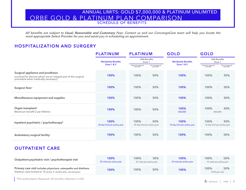**All benefits are subject to Usual, Reasonable and Customary Fees. Contact us and our ConciergeCare team will help you locate the most appropriate Select Provider for you and assist you in scheduling an appointment.**

#### **HOSPITALIZATION AND SURGERY**

|                                                                                                                                             | <b>PLATINUM</b>                      | <b>PLATINUM</b>                                             | <b>GOLD</b>                          | <b>GOLD</b>                                                 |  |
|---------------------------------------------------------------------------------------------------------------------------------------------|--------------------------------------|-------------------------------------------------------------|--------------------------------------|-------------------------------------------------------------|--|
|                                                                                                                                             | <b>Worldwide Benefits</b>            | <b>USA Benefits</b><br>Zone 1                               | <b>Worldwide Benefits</b>            | <b>USA Benefits</b><br>Zone 1                               |  |
|                                                                                                                                             | <b>Zone 1 &amp; 2</b>                | Out-of-network<br>provider<br>Select/In-network<br>provider | <b>Zone 1 &amp; 2</b>                | Out-of-network<br>provider<br>Select/In-network<br>provider |  |
| Surgical appliance and prosthesis<br>(covered for devices which are an integral part of the surgical<br>procedure when medically necessary) | 100%                                 | 100%<br>50%                                                 | 100%                                 | 100%<br>50%                                                 |  |
| Surgeon fees*                                                                                                                               | 100%                                 | 100%<br>50%                                                 | 100%                                 | 100%<br>50%                                                 |  |
| Miscellaneous equipment and supplies                                                                                                        | 100%                                 | 100%<br>50%                                                 | 100%                                 | 100%<br>50%                                                 |  |
| Organ transplant*<br>Maximum benefit 2 per lifetime                                                                                         | 100%                                 | 100%<br>50%                                                 | 100%<br>\$50,000                     | 100%<br>50%<br>\$50,000                                     |  |
| Inpatient psychiatric / psychotherapy*                                                                                                      | 100%<br>30 day limit per policy year | 100%<br>50%<br>30 day limit per policy year                 | 100%<br>10 day limit per policy year | 100%<br>50%<br>10 day limit per policy year                 |  |
| Ambulatory surgical facility*                                                                                                               | 100%                                 | 100%<br>50%                                                 | 100%                                 | 100%<br>50%                                                 |  |

#### **OUTPATIENT CARE**

| Outpatient psychiatric visit / psychotherapist visit                                                                              | 100%<br>25 visits per policy year | 100%<br>50%<br>25 visits per policy year | 100%<br>10 visits per policy year | 100%<br>50%<br>10 visits per policy year |
|-----------------------------------------------------------------------------------------------------------------------------------|-----------------------------------|------------------------------------------|-----------------------------------|------------------------------------------|
| Primary care visit includes physicians, osteopaths and dietitians<br>Dietitian visits limited to 10 (only if medically necessary) | 100%                              | 100%<br>50%                              | 100%                              | 100%<br>50%<br>\$150 per visit           |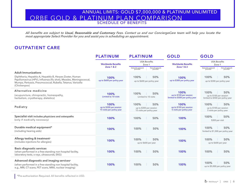**All benefits are subject to Usual, Reasonable and Customary Fees. Contact us and our ConciergeCare team will help you locate the most appropriate Select Provider for you and assist you in scheduling an appointment.**

#### **OUTPATIENT CARE**

|                                                                                                                                                                                                                                                | <b>PLATINUM</b><br><b>PLATINUM</b>                           |                                                                                              | <b>GOLD</b>                                                         | <b>GOLD</b>                                                                                  |
|------------------------------------------------------------------------------------------------------------------------------------------------------------------------------------------------------------------------------------------------|--------------------------------------------------------------|----------------------------------------------------------------------------------------------|---------------------------------------------------------------------|----------------------------------------------------------------------------------------------|
|                                                                                                                                                                                                                                                | <b>Worldwide Benefits</b><br><b>Zone 1 &amp; 2</b>           | <b>USA Benefits</b><br>Zone 1<br>Out-of-network<br>Select/In-network<br>provider<br>provider | <b>Worldwide Benefits</b><br><b>Zone 1 &amp; 2</b>                  | <b>USA Benefits</b><br>Zone 1<br>Out-of-network<br>Select/In-network<br>provider<br>provider |
| <b>Adult Immunizations</b><br>Diphtheria, Hepatitis A, Hepatitis B, Herpes Zoster, Human<br>Papillomavirus (HPV), Influenza (flu shot), Measles, Meningococcal,<br>Mumps, Pertussis, Pneumococcal, Rubella, Tetanus, Varicella<br>(Chickenpox) | 100%<br>up to \$600 per policy year                          | 100%<br>50%<br>up to \$600 per policy year                                                   | 100%<br>up to \$300 per policy year                                 | 100%<br>50%<br>up to \$300 per policy year                                                   |
| Alternative medicine<br>(acupuncture, chiropractic, homeopathy,<br>herbalism, cryotherapy, dietetics)                                                                                                                                          | 100%<br>Limited to 10 visits                                 | 100%<br>50%<br>Limited to 10 visits                                                          | 100%<br>up to \$100 per session<br>limited to \$500 per policy year | 100%<br>50%<br>up to \$100 per session<br>limited to \$500 per policy year                   |
| Podiatry                                                                                                                                                                                                                                       | 100%<br>up to \$300 per session<br>15 visits per policy year | 100%<br>50%<br>up to \$300 per session<br>15 visits per policy year                          | 100%<br>up to \$100 per session<br>5 visits per policy year         | 100%<br>50%<br>up to \$100 per session<br>5 visits per policy year                           |
| Specialist visit includes physicians and osteopaths<br>(only if medically necessary)                                                                                                                                                           | 100%                                                         | 100%<br>50%                                                                                  | 100%                                                                | 100%<br>50%<br>\$300 per visit                                                               |
| Durable medical equipment*<br>(including hearing aids)                                                                                                                                                                                         | 100%                                                         | 100%<br>50%                                                                                  | 100%                                                                | 100%<br>50%<br>limited to \$1,500 per policy year                                            |
| Allergy testing & treatment*<br>(includes injections for allergies)                                                                                                                                                                            | 100%                                                         | 100%<br>50%<br>up to \$600 per year                                                          | 100%                                                                | 100%<br>50%<br>up to \$600 per year                                                          |
| <b>Basic diagnostic services</b><br>(when performed in a free-standing non-hospital facility,<br>laboratory tests, x-rays, ultrasounds, EKG)                                                                                                   | 100%                                                         | 100%<br>50%                                                                                  | 100%                                                                | 100%<br>50%                                                                                  |
| Advanced diagnostic and imaging services*<br>(when performed in a free-standing non hospital facility,<br>e.g., MRI, CT scans, PET scans, MRA, nuclear imaging)                                                                                | 100%                                                         | 100%<br>50%                                                                                  | 100%                                                                | 100%<br>50%<br>up to \$5,000 per policy year                                                 |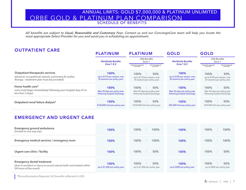**All benefits are subject to Usual, Reasonable and Customary Fees. Contact us and our ConciergeCare team will help you locate the most appropriate Select Provider for you and assist you in scheduling an appointment.**

### **OUTPATIENT CARE**

|                                                                                                    | <b>PLATINUM</b>                                              | <b>PLATINUM</b>                                              | <b>GOLD</b>                                                  | <b>GOLD</b>                                                  |  |
|----------------------------------------------------------------------------------------------------|--------------------------------------------------------------|--------------------------------------------------------------|--------------------------------------------------------------|--------------------------------------------------------------|--|
|                                                                                                    | <b>Worldwide Benefits</b>                                    | <b>USA Benefits</b><br>Zone 1                                | <b>Worldwide Benefits</b>                                    | <b>USA Benefits</b><br>Zone 1                                |  |
|                                                                                                    | <b>Zone 1 &amp; 2</b>                                        | Out-of-network<br>provider<br>Select/In-network<br>provider  | <b>Zone 1 &amp; 2</b>                                        | Out-of-network<br>provider<br>Select/In-network<br>provider  |  |
| Outpatient therapeutic services                                                                    | 100%                                                         | 100%<br>50%                                                  | 100%                                                         | 100%<br>50%                                                  |  |
| (physical, occupational, speech, pulmonary & cardiac<br>therapy - treatment plan must be provided) | up to \$170 per session, max<br>35 sessions per policy year. | up to \$170 per session, max<br>35 sessions per policy year. | up to \$100 per session, max<br>25 sessions per policy year. | up to \$100 per session, max<br>25 sessions per policy year. |  |
| Home health care*                                                                                  | 100%                                                         | 100%<br>50%                                                  | 100%                                                         | 100%<br>50%                                                  |  |
| (care must begin immediately following your hospital stay of no<br>less than 3 days)               | Max 90 days per policy year<br>following hospital discharge  | Max 90 days per policy year<br>following hospital discharge  | Max 30 days per policy year<br>following hospital discharge  | Max 30 days per policy year<br>following hospital discharge  |  |
| Outpatient renal failure dialysis*                                                                 | 100%                                                         | 100%<br>50%                                                  | 100%                                                         | 50%<br>100%                                                  |  |
|                                                                                                    | \$100,000 limit per policy year                              | \$100,000 limit per policy year                              | \$25,000 limit per policy year                               | \$25,000 limit per policy year                               |  |

#### **EMERGENCY AND URGENT CARE**

| <b>Emergency ground ambulance</b><br>(limited to one way trip)                                                                      | 100%                                  | 100%<br>100%                                 | 100%                                | 100%<br>100%                               |
|-------------------------------------------------------------------------------------------------------------------------------------|---------------------------------------|----------------------------------------------|-------------------------------------|--------------------------------------------|
| Emergency medical services / emergency room                                                                                         | 100%                                  | 100%<br>100%                                 | 100%                                | 100%<br>100%                               |
| Urgent care clinic / facility                                                                                                       | 100%                                  | 100%<br>50%                                  | 100%                                | 50%<br>100%                                |
| <b>Emergency dental treatment</b><br>(due to accident or injury to sound natural teeth and treated within<br>24 hours of the event) | 100%<br>up to \$1,000 per policy year | 100%<br>50%<br>up to \$1,000 per policy year | 100%<br>up to \$500 per policy year | 50%<br>100%<br>up to \$500 per policy year |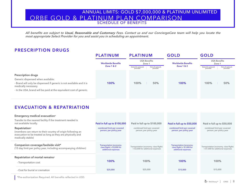**All benefits are subject to Usual, Reasonable and Customary Fees. Contact us and our ConciergeCare team will help you locate the most appropriate Select Provider for you and assist you in scheduling an appointment.**

#### **PRESCRIPTION DRUGS**

|                                                                                                                                                                                                                                       | <b>PLATINUM</b>                                    | <b>PLATINUM</b>                                             | <b>GOLD</b>               | <b>GOLD</b>                                                 |  |
|---------------------------------------------------------------------------------------------------------------------------------------------------------------------------------------------------------------------------------------|----------------------------------------------------|-------------------------------------------------------------|---------------------------|-------------------------------------------------------------|--|
|                                                                                                                                                                                                                                       | <b>Worldwide Benefits</b><br><b>Zone 1 &amp; 2</b> | <b>USA Benefits</b><br>Zone 1                               | <b>Worldwide Benefits</b> | <b>USA Benefits</b><br>Zone 1                               |  |
|                                                                                                                                                                                                                                       |                                                    | Out-of-network<br>provider<br>Select/In-network<br>provider | <b>Zone 1 &amp; 2</b>     | Out-of-network<br>provider<br>Select/In-network<br>provider |  |
| <b>Prescription drugs</b><br>Generic dispensed when available:<br>- Brand will only be dispensed if generic is not available and it is<br>medically necessary.<br>- In the USA, brand will be paid at the equivalent cost of generic. | 100%                                               | 100%<br>50%                                                 | 100%                      | 50%<br>100%                                                 |  |

#### **EVACUATION & REPATRIATION**

| Emergency medical evacuation*<br>Transfer to the nearest facility if the treatment needed is<br>not available locally.                                           | Paid in full up to \$100,000                                                    | Paid in full up to \$100,000                                                | Paid in full up to \$50,000                                                     | Paid in full up to \$50,000                                                 |
|------------------------------------------------------------------------------------------------------------------------------------------------------------------|---------------------------------------------------------------------------------|-----------------------------------------------------------------------------|---------------------------------------------------------------------------------|-----------------------------------------------------------------------------|
| Repatriation*<br>(members can return to their country of origin following an<br>evacuation to be treated as long as they are physically and<br>medically stable) | combined limit per covered<br>person, per policy year                           | combined limit per covered<br>person, per policy year                       | combined limit per covered<br>person, per policy year                           | combined limit per covered<br>person, per policy year                       |
| Companion coverage/bedside visit*<br>(15 day limit per policy year, including accompanying children)                                                             | Transportation (economy-<br>class flight) + $$3,000$ for<br>additional expenses | Transportation (economy- class flight)<br>+ \$3,000 for additional expenses | Transportation (economy-<br>class flight) + $$1,000$ for<br>additional expenses | Transportation (economy- class flight)<br>+ \$1,000 for additional expenses |
| Repatriation of mortal remains*<br>- Transportation cost                                                                                                         | 100%                                                                            | 100%                                                                        | <b>100%</b>                                                                     | 100%                                                                        |
| - Cost for burial or cremation                                                                                                                                   | \$25,000                                                                        | \$25,000                                                                    | \$15,000                                                                        | \$15,000                                                                    |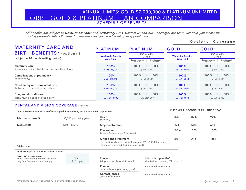**All benefits are subject to Usual, Reasonable and Customary Fees. Contact us and our ConciergeCare team will help you locate the most appropriate Select Provider for you and assist you in scheduling an appointment.**

#### **Optional Coverage**

| <b>MATERNITY CARE AND</b>                                                           | <b>PLATINUM</b>           | <b>PLATINUM</b>                                             | <b>GOLD</b>               | <b>GOLD</b>                                                 |  |
|-------------------------------------------------------------------------------------|---------------------------|-------------------------------------------------------------|---------------------------|-------------------------------------------------------------|--|
| <b>BIRTH BENEFITS*</b> (optional)<br>(subject to 10 month waiting period)           | <b>Worldwide Benefits</b> | <b>USA Benefits</b><br>Zone 1                               | <b>Worldwide Benefits</b> | <b>USA Benefits</b><br>Zone 1                               |  |
|                                                                                     | <b>Zone 1 &amp; 2</b>     | Out-of-network<br>provider<br>Select/In-network<br>provider | <b>Zone 1 &amp; 2</b>     | Out-of-network<br>provider<br>Select/In-network<br>provider |  |
| <b>Maternity Care</b><br>(includes hospital, obstetrician and anesthesiologist)     | 100%<br>up to \$15,000    | 100%<br>50%<br>up to \$15,000                               | 100%<br>up to \$10,000    | 50%<br>100%<br>up to \$10,000                               |  |
| <b>Complications of pregnancy</b><br>(mother only)                                  | 100%<br>up to \$50,000    | 100%<br>50%<br>up to \$50,000                               | 100%<br>up to \$15,000    | 100%<br>50%<br>up to \$15,000                               |  |
| Non-healthy newborn infant care<br>(baby must be added to the policy)               | 100%<br>up to \$50,000    | 100%<br>50%<br>up to \$50,000                               | 100%<br>up to \$15,000    | 100%<br>50%<br>up to \$15,000                               |  |
| <b>Congenital conditions</b><br>(baby must be added to the policy)                  | 100%<br>up to \$150,000   | 100%<br>50%<br>up to \$150,000                              | 100%<br>up to \$50,000    | 100%<br>50%<br>up to \$50,000                               |  |
| <b>DENTAL AND VISION COVERAGE (optional)</b>                                        |                           |                                                             |                           |                                                             |  |
| Dental & vision benefits are offered a package and may not be purchased separately. |                           |                                                             | FIRST YEAR SECOND YEAR    | <b>THIRD YEAR</b>                                           |  |

| Maximum benefit               | \$3,500 per policy year | <b>Basic</b><br>(routine)                                                                                                       | 65%  | 80%  | 90%  |
|-------------------------------|-------------------------|---------------------------------------------------------------------------------------------------------------------------------|------|------|------|
| <b>Deductible</b>             | \$100 lifetime          | <b>Major restorative</b>                                                                                                        | 25%  | 50%  | 65%  |
|                               |                         | <b>Preventive</b><br>(exams & cleanings, 2 per year)                                                                            | 100% | 100% | 100% |
| $\mathbf{v}$ and $\mathbf{v}$ |                         | Orthodontic treatment<br>(covered for children under the age of 19 - \$1,200 lifetime<br>maximum per child, \$600 annual limit) | 10%  | 25%  | 50%  |

**Vision care**

| (vision subject to 6 month waiting period)                                                         |                     |  |  |
|----------------------------------------------------------------------------------------------------|---------------------|--|--|
| Routine vision exam<br>(one vision exam per year - includes<br>any fees for contact lens fittings) | \$75<br>$$10$ copay |  |  |

| Lenses<br>(single vision, bifocal, trifocal)      | Paid in full up to \$200<br>(limited to one every 24 months) |
|---------------------------------------------------|--------------------------------------------------------------|
| <b>Frames</b><br>(limited to one per policy year) | Paid in full up to \$225                                     |
| <b>Contact lenses</b><br>(in lieu of frames)      | Paid in full up to \$225                                     |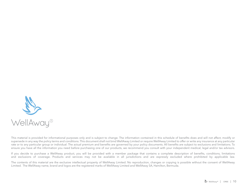

This material is provided for informational purposes only and is subject to change. The information contained in this schedule of benefits does and will not affect, modify or supersede in any way the policy terms and conditions. This document shall not bind WellAway Limited or require WellAway Limited to offer or write any insurance at any particular rate or to any particular group or individual. The actual premium and benefits are governed by your policy documents. All benefits are subject to exclusions and limitations. To ensure you have all the information you need before purchasing one of our products, we recommend you consult with your independent medical, legal and/or tax advisors.

If you decide to purchase a WellAway product, you will be provided with a member package that contains a complete description of benefits, conditions, limitations and exclusions of coverage. Products and services may not be available in all jurisdictions and are expressly excluded where prohibited by applicable law.

The contents of this material are the exclusive intellectual property of WellAway Limited. No reproduction, changes or copying is possible without the consent of WellAway Limited. The WellAway name, brand and logos are the registered marks of WellAway Limited and WellAway SA, Hamilton, Bermuda.